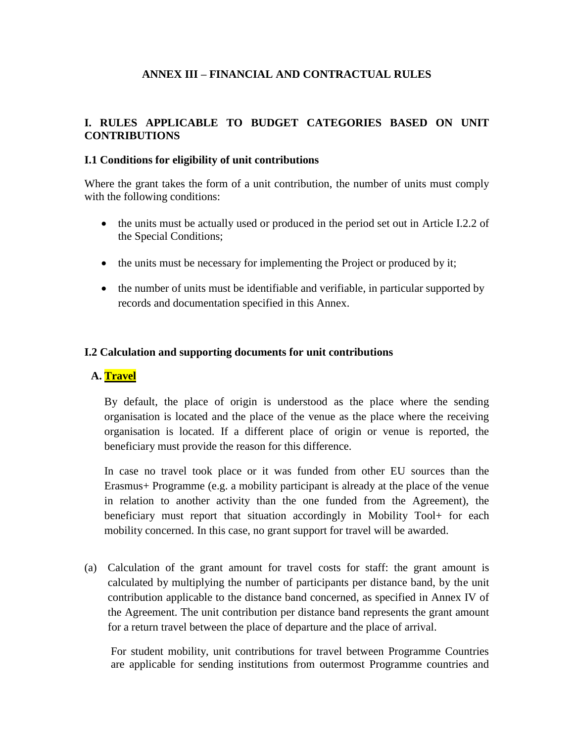### **ANNEX III – FINANCIAL AND CONTRACTUAL RULES**

#### **I. RULES APPLICABLE TO BUDGET CATEGORIES BASED ON UNIT CONTRIBUTIONS**

#### **I.1 Conditions for eligibility of unit contributions**

Where the grant takes the form of a unit contribution, the number of units must comply with the following conditions:

- the units must be actually used or produced in the period set out in Article I.2.2 of the Special Conditions;
- the units must be necessary for implementing the Project or produced by it;
- the number of units must be identifiable and verifiable, in particular supported by records and documentation specified in this Annex.

#### **I.2 Calculation and supporting documents for unit contributions**

#### **A. Travel**

By default, the place of origin is understood as the place where the sending organisation is located and the place of the venue as the place where the receiving organisation is located. If a different place of origin or venue is reported, the beneficiary must provide the reason for this difference.

In case no travel took place or it was funded from other EU sources than the Erasmus+ Programme (e.g. a mobility participant is already at the place of the venue in relation to another activity than the one funded from the Agreement), the beneficiary must report that situation accordingly in Mobility Tool+ for each mobility concerned. In this case, no grant support for travel will be awarded.

(a) Calculation of the grant amount for travel costs for staff: the grant amount is calculated by multiplying the number of participants per distance band, by the unit contribution applicable to the distance band concerned, as specified in Annex IV of the Agreement. The unit contribution per distance band represents the grant amount for a return travel between the place of departure and the place of arrival.

For student mobility, unit contributions for travel between Programme Countries are applicable for sending institutions from outermost Programme countries and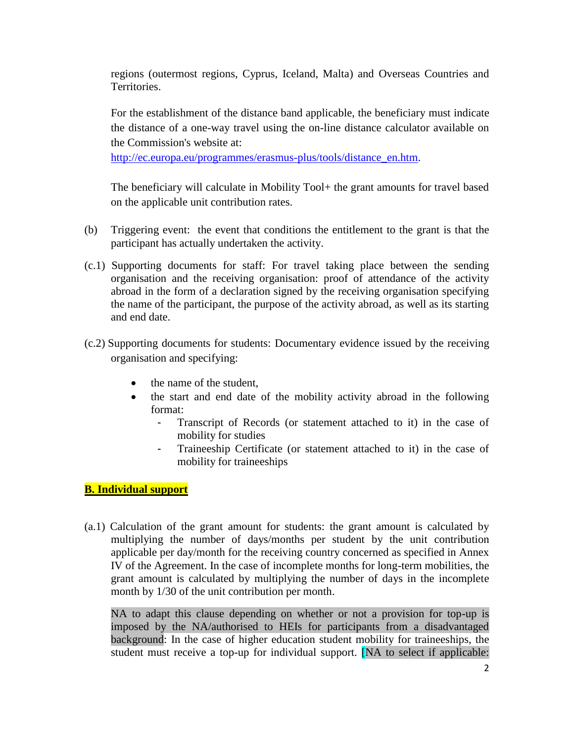regions (outermost regions, Cyprus, Iceland, Malta) and Overseas Countries and Territories.

For the establishment of the distance band applicable, the beneficiary must indicate the distance of a one-way travel using the on-line distance calculator available on the Commission's website at:

[http://ec.europa.eu/programmes/erasmus-plus/tools/distance\\_en.htm.](http://ec.europa.eu/programmes/erasmus-plus/tools/distance_en.htm)

The beneficiary will calculate in Mobility Tool+ the grant amounts for travel based on the applicable unit contribution rates.

- (b) Triggering event: the event that conditions the entitlement to the grant is that the participant has actually undertaken the activity.
- (c.1) Supporting documents for staff: For travel taking place between the sending organisation and the receiving organisation: proof of attendance of the activity abroad in the form of a declaration signed by the receiving organisation specifying the name of the participant, the purpose of the activity abroad, as well as its starting and end date.
- (c.2) Supporting documents for students: Documentary evidence issued by the receiving organisation and specifying:
	- the name of the student,
	- the start and end date of the mobility activity abroad in the following format:
		- Transcript of Records (or statement attached to it) in the case of mobility for studies
		- Traineeship Certificate (or statement attached to it) in the case of mobility for traineeships

## **B. Individual support**

(a.1) Calculation of the grant amount for students: the grant amount is calculated by multiplying the number of days/months per student by the unit contribution applicable per day/month for the receiving country concerned as specified in Annex IV of the Agreement. In the case of incomplete months for long-term mobilities, the grant amount is calculated by multiplying the number of days in the incomplete month by 1/30 of the unit contribution per month.

NA to adapt this clause depending on whether or not a provision for top-up is imposed by the NA/authorised to HEIs for participants from a disadvantaged background: In the case of higher education student mobility for traineeships, the student must receive a top-up for individual support. [NA to select if applicable: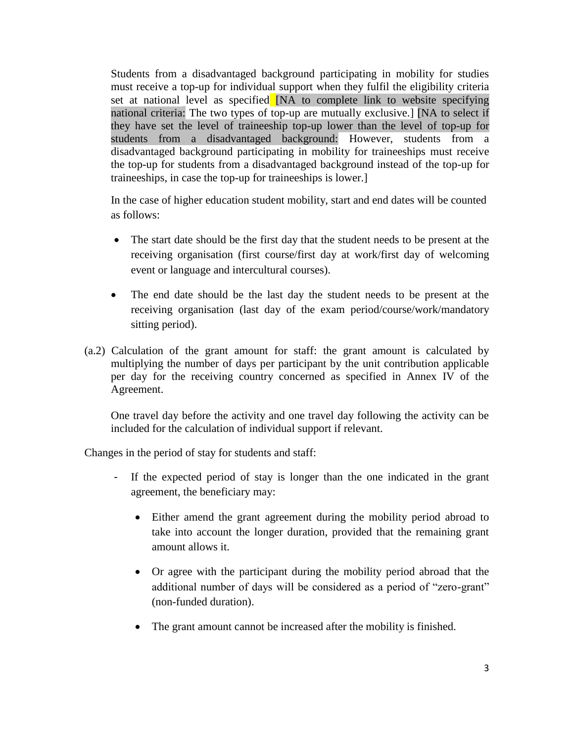Students from a disadvantaged background participating in mobility for studies must receive a top-up for individual support when they fulfil the eligibility criteria set at national level as specified [NA to complete link to website specifying national criteria: The two types of top-up are mutually exclusive.] [NA to select if they have set the level of traineeship top-up lower than the level of top-up for students from a disadvantaged background: However, students from a disadvantaged background participating in mobility for traineeships must receive the top-up for students from a disadvantaged background instead of the top-up for traineeships, in case the top-up for traineeships is lower.]

In the case of higher education student mobility, start and end dates will be counted as follows:

- The start date should be the first day that the student needs to be present at the receiving organisation (first course/first day at work/first day of welcoming event or language and intercultural courses).
- The end date should be the last day the student needs to be present at the receiving organisation (last day of the exam period/course/work/mandatory sitting period).
- (a.2) Calculation of the grant amount for staff: the grant amount is calculated by multiplying the number of days per participant by the unit contribution applicable per day for the receiving country concerned as specified in Annex IV of the Agreement.

One travel day before the activity and one travel day following the activity can be included for the calculation of individual support if relevant.

Changes in the period of stay for students and staff:

- If the expected period of stay is longer than the one indicated in the grant agreement, the beneficiary may:
	- Either amend the grant agreement during the mobility period abroad to take into account the longer duration, provided that the remaining grant amount allows it.
	- Or agree with the participant during the mobility period abroad that the additional number of days will be considered as a period of "zero-grant" (non-funded duration).
	- The grant amount cannot be increased after the mobility is finished.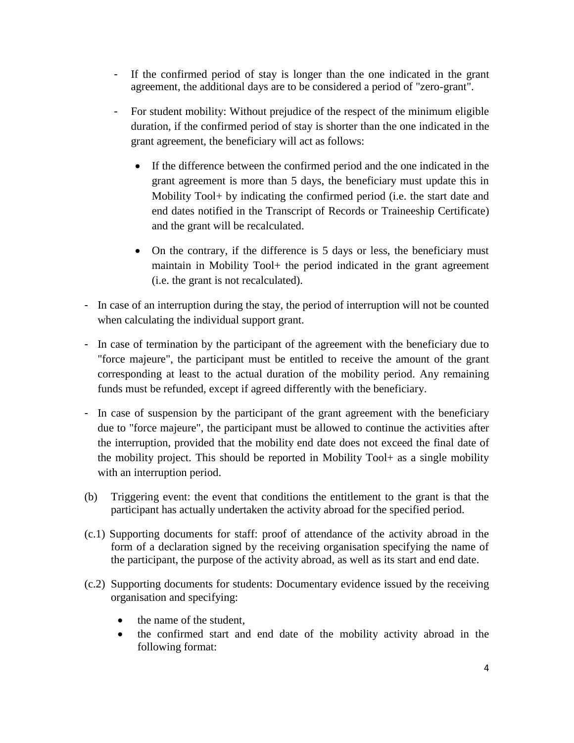- If the confirmed period of stay is longer than the one indicated in the grant agreement, the additional days are to be considered a period of "zero-grant".
- For student mobility: Without prejudice of the respect of the minimum eligible duration, if the confirmed period of stay is shorter than the one indicated in the grant agreement, the beneficiary will act as follows:
	- If the difference between the confirmed period and the one indicated in the grant agreement is more than 5 days, the beneficiary must update this in Mobility Tool+ by indicating the confirmed period (i.e. the start date and end dates notified in the Transcript of Records or Traineeship Certificate) and the grant will be recalculated.
	- On the contrary, if the difference is 5 days or less, the beneficiary must maintain in Mobility Tool+ the period indicated in the grant agreement (i.e. the grant is not recalculated).
- In case of an interruption during the stay, the period of interruption will not be counted when calculating the individual support grant.
- In case of termination by the participant of the agreement with the beneficiary due to "force majeure", the participant must be entitled to receive the amount of the grant corresponding at least to the actual duration of the mobility period. Any remaining funds must be refunded, except if agreed differently with the beneficiary.
- In case of suspension by the participant of the grant agreement with the beneficiary due to "force majeure", the participant must be allowed to continue the activities after the interruption, provided that the mobility end date does not exceed the final date of the mobility project. This should be reported in Mobility Tool+ as a single mobility with an interruption period.
- (b) Triggering event: the event that conditions the entitlement to the grant is that the participant has actually undertaken the activity abroad for the specified period.
- (c.1) Supporting documents for staff: proof of attendance of the activity abroad in the form of a declaration signed by the receiving organisation specifying the name of the participant, the purpose of the activity abroad, as well as its start and end date.
- (c.2) Supporting documents for students: Documentary evidence issued by the receiving organisation and specifying:
	- the name of the student,
	- the confirmed start and end date of the mobility activity abroad in the following format: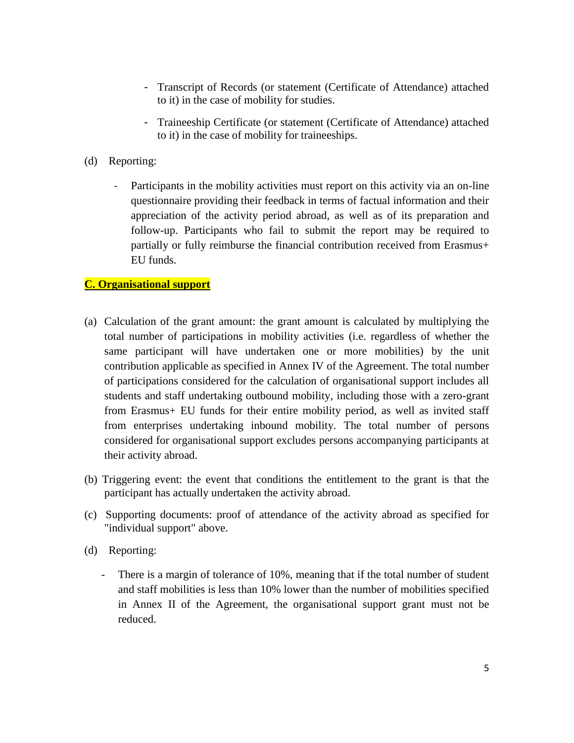- Transcript of Records (or statement (Certificate of Attendance) attached to it) in the case of mobility for studies.
- Traineeship Certificate (or statement (Certificate of Attendance) attached to it) in the case of mobility for traineeships.
- (d) Reporting:
	- Participants in the mobility activities must report on this activity via an on-line questionnaire providing their feedback in terms of factual information and their appreciation of the activity period abroad, as well as of its preparation and follow-up. Participants who fail to submit the report may be required to partially or fully reimburse the financial contribution received from Erasmus+ EU funds.

### **C. Organisational support**

- (a) Calculation of the grant amount: the grant amount is calculated by multiplying the total number of participations in mobility activities (i.e. regardless of whether the same participant will have undertaken one or more mobilities) by the unit contribution applicable as specified in Annex IV of the Agreement. The total number of participations considered for the calculation of organisational support includes all students and staff undertaking outbound mobility, including those with a zero-grant from Erasmus+ EU funds for their entire mobility period, as well as invited staff from enterprises undertaking inbound mobility. The total number of persons considered for organisational support excludes persons accompanying participants at their activity abroad.
- (b) Triggering event: the event that conditions the entitlement to the grant is that the participant has actually undertaken the activity abroad.
- (c) Supporting documents: proof of attendance of the activity abroad as specified for "individual support" above.
- (d) Reporting:
	- There is a margin of tolerance of 10%, meaning that if the total number of student and staff mobilities is less than 10% lower than the number of mobilities specified in Annex II of the Agreement, the organisational support grant must not be reduced.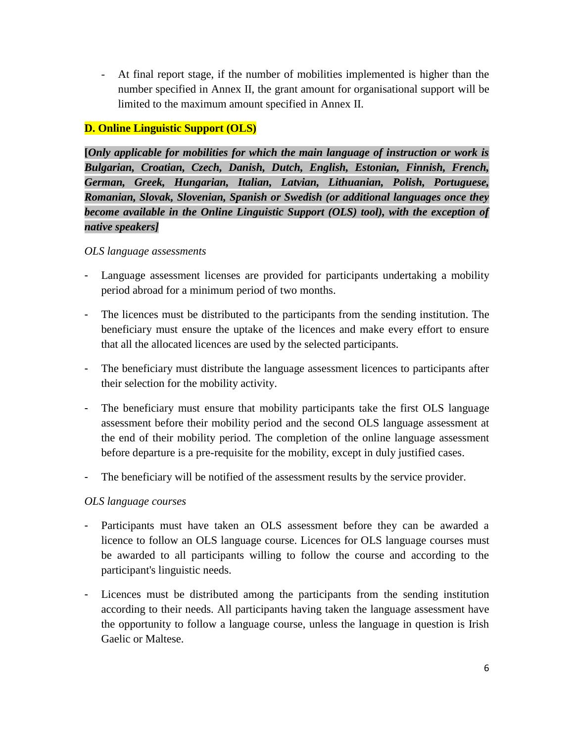- At final report stage, if the number of mobilities implemented is higher than the number specified in Annex II, the grant amount for organisational support will be limited to the maximum amount specified in Annex II.

### **D. Online Linguistic Support (OLS)**

**[***Only applicable for mobilities for which the main language of instruction or work is Bulgarian, Croatian, Czech, Danish, Dutch, English, Estonian, Finnish, French, German, Greek, Hungarian, Italian, Latvian, Lithuanian, Polish, Portuguese, Romanian, Slovak, Slovenian, Spanish or Swedish (or additional languages once they become available in the Online Linguistic Support (OLS) tool), with the exception of native speakers]*

#### *OLS language assessments*

- Language assessment licenses are provided for participants undertaking a mobility period abroad for a minimum period of two months.
- The licences must be distributed to the participants from the sending institution. The beneficiary must ensure the uptake of the licences and make every effort to ensure that all the allocated licences are used by the selected participants.
- The beneficiary must distribute the language assessment licences to participants after their selection for the mobility activity.
- The beneficiary must ensure that mobility participants take the first OLS language assessment before their mobility period and the second OLS language assessment at the end of their mobility period. The completion of the online language assessment before departure is a pre-requisite for the mobility, except in duly justified cases.
- The beneficiary will be notified of the assessment results by the service provider.

### *OLS language courses*

- Participants must have taken an OLS assessment before they can be awarded a licence to follow an OLS language course. Licences for OLS language courses must be awarded to all participants willing to follow the course and according to the participant's linguistic needs.
- Licences must be distributed among the participants from the sending institution according to their needs. All participants having taken the language assessment have the opportunity to follow a language course, unless the language in question is Irish Gaelic or Maltese.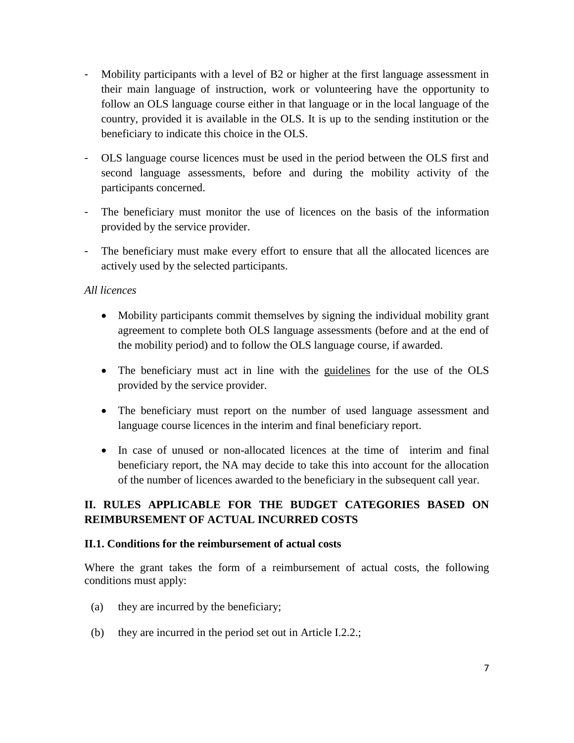- Mobility participants with a level of B2 or higher at the first language assessment in their main language of instruction, work or volunteering have the opportunity to follow an OLS language course either in that language or in the local language of the country, provided it is available in the OLS. It is up to the sending institution or the beneficiary to indicate this choice in the OLS.
- OLS language course licences must be used in the period between the OLS first and second language assessments, before and during the mobility activity of the participants concerned.
- The beneficiary must monitor the use of licences on the basis of the information provided by the service provider.
- The beneficiary must make every effort to ensure that all the allocated licences are actively used by the selected participants.

### *All licences*

- Mobility participants commit themselves by signing the individual mobility grant agreement to complete both OLS language assessments (before and at the end of the mobility period) and to follow the OLS language course, if awarded.
- The beneficiary must act in line with the guidelines for the use of the OLS provided by the service provider.
- The beneficiary must report on the number of used language assessment and language course licences in the interim and final beneficiary report.
- In case of unused or non-allocated licences at the time of interim and final beneficiary report, the NA may decide to take this into account for the allocation of the number of licences awarded to the beneficiary in the subsequent call year.

# **II. RULES APPLICABLE FOR THE BUDGET CATEGORIES BASED ON REIMBURSEMENT OF ACTUAL INCURRED COSTS**

### **II.1. Conditions for the reimbursement of actual costs**

Where the grant takes the form of a reimbursement of actual costs, the following conditions must apply:

- (a) they are incurred by the beneficiary;
- (b) they are incurred in the period set out in Article I.2.2.;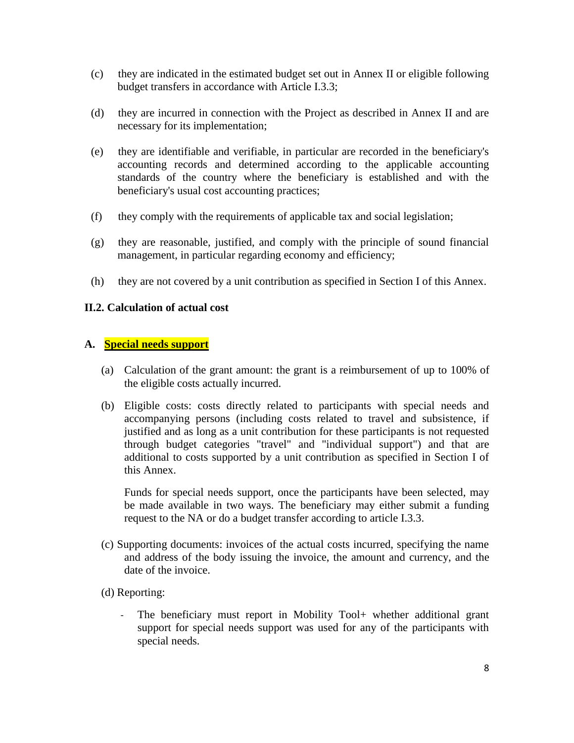- (c) they are indicated in the estimated budget set out in Annex II or eligible following budget transfers in accordance with Article I.3.3;
- (d) they are incurred in connection with the Project as described in Annex II and are necessary for its implementation;
- (e) they are identifiable and verifiable, in particular are recorded in the beneficiary's accounting records and determined according to the applicable accounting standards of the country where the beneficiary is established and with the beneficiary's usual cost accounting practices;
- (f) they comply with the requirements of applicable tax and social legislation;
- (g) they are reasonable, justified, and comply with the principle of sound financial management, in particular regarding economy and efficiency;
- (h) they are not covered by a unit contribution as specified in Section I of this Annex.

#### **II.2. Calculation of actual cost**

#### **A. Special needs support**

- (a) Calculation of the grant amount: the grant is a reimbursement of up to 100% of the eligible costs actually incurred.
- (b) Eligible costs: costs directly related to participants with special needs and accompanying persons (including costs related to travel and subsistence, if justified and as long as a unit contribution for these participants is not requested through budget categories "travel" and "individual support") and that are additional to costs supported by a unit contribution as specified in Section I of this Annex.

Funds for special needs support, once the participants have been selected, may be made available in two ways. The beneficiary may either submit a funding request to the NA or do a budget transfer according to article I.3.3.

- (c) Supporting documents: invoices of the actual costs incurred, specifying the name and address of the body issuing the invoice, the amount and currency, and the date of the invoice.
- (d) Reporting:
	- The beneficiary must report in Mobility Tool+ whether additional grant support for special needs support was used for any of the participants with special needs.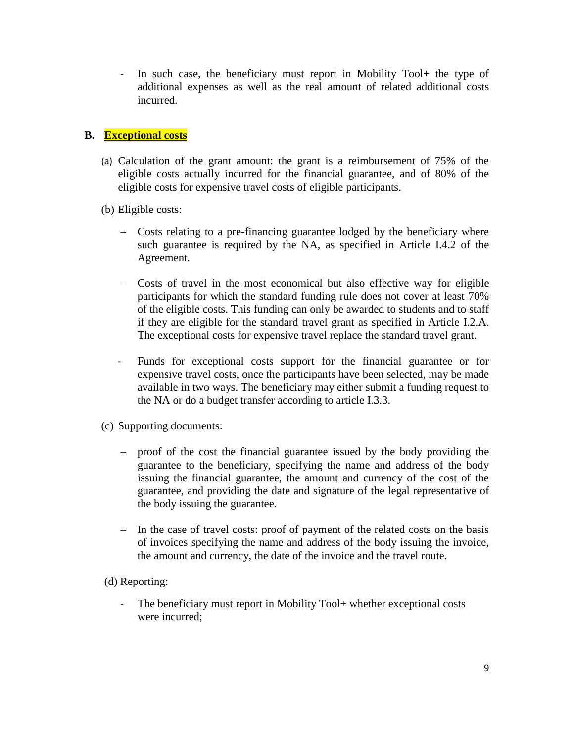- In such case, the beneficiary must report in Mobility Tool+ the type of additional expenses as well as the real amount of related additional costs incurred.

### **B. Exceptional costs**

- (a) Calculation of the grant amount: the grant is a reimbursement of 75% of the eligible costs actually incurred for the financial guarantee, and of 80% of the eligible costs for expensive travel costs of eligible participants.
- (b) Eligible costs:
	- Costs relating to a pre-financing guarantee lodged by the beneficiary where such guarantee is required by the NA, as specified in Article I.4.2 of the Agreement.
	- Costs of travel in the most economical but also effective way for eligible participants for which the standard funding rule does not cover at least 70% of the eligible costs. This funding can only be awarded to students and to staff if they are eligible for the standard travel grant as specified in Article I.2.A. The exceptional costs for expensive travel replace the standard travel grant.
	- Funds for exceptional costs support for the financial guarantee or for expensive travel costs, once the participants have been selected, may be made available in two ways. The beneficiary may either submit a funding request to the NA or do a budget transfer according to article I.3.3.
- (c) Supporting documents:
	- proof of the cost the financial guarantee issued by the body providing the guarantee to the beneficiary, specifying the name and address of the body issuing the financial guarantee, the amount and currency of the cost of the guarantee, and providing the date and signature of the legal representative of the body issuing the guarantee.
	- In the case of travel costs: proof of payment of the related costs on the basis of invoices specifying the name and address of the body issuing the invoice, the amount and currency, the date of the invoice and the travel route.
- (d) Reporting:
	- The beneficiary must report in Mobility Tool+ whether exceptional costs were incurred;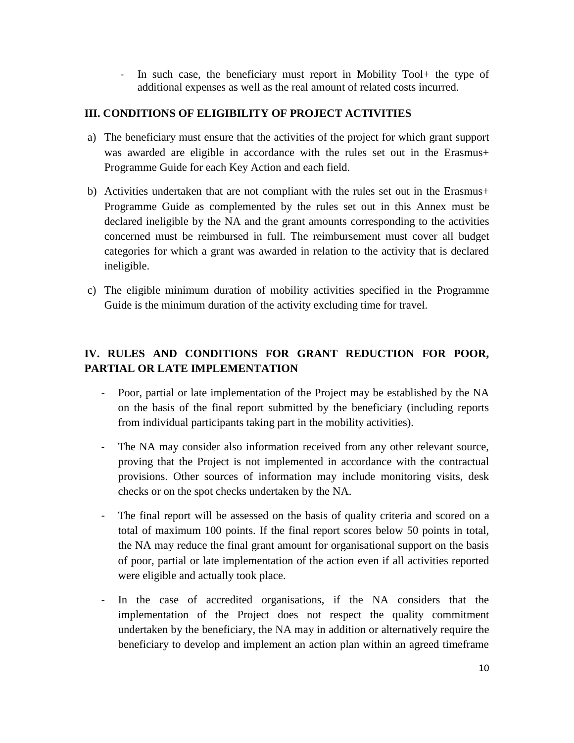- In such case, the beneficiary must report in Mobility Tool+ the type of additional expenses as well as the real amount of related costs incurred.

### **III. CONDITIONS OF ELIGIBILITY OF PROJECT ACTIVITIES**

- a) The beneficiary must ensure that the activities of the project for which grant support was awarded are eligible in accordance with the rules set out in the Erasmus+ Programme Guide for each Key Action and each field.
- b) Activities undertaken that are not compliant with the rules set out in the Erasmus+ Programme Guide as complemented by the rules set out in this Annex must be declared ineligible by the NA and the grant amounts corresponding to the activities concerned must be reimbursed in full. The reimbursement must cover all budget categories for which a grant was awarded in relation to the activity that is declared ineligible.
- c) The eligible minimum duration of mobility activities specified in the Programme Guide is the minimum duration of the activity excluding time for travel.

# **IV. RULES AND CONDITIONS FOR GRANT REDUCTION FOR POOR, PARTIAL OR LATE IMPLEMENTATION**

- Poor, partial or late implementation of the Project may be established by the NA on the basis of the final report submitted by the beneficiary (including reports from individual participants taking part in the mobility activities).
- The NA may consider also information received from any other relevant source, proving that the Project is not implemented in accordance with the contractual provisions. Other sources of information may include monitoring visits, desk checks or on the spot checks undertaken by the NA.
- The final report will be assessed on the basis of quality criteria and scored on a total of maximum 100 points. If the final report scores below 50 points in total, the NA may reduce the final grant amount for organisational support on the basis of poor, partial or late implementation of the action even if all activities reported were eligible and actually took place.
- In the case of accredited organisations, if the NA considers that the implementation of the Project does not respect the quality commitment undertaken by the beneficiary, the NA may in addition or alternatively require the beneficiary to develop and implement an action plan within an agreed timeframe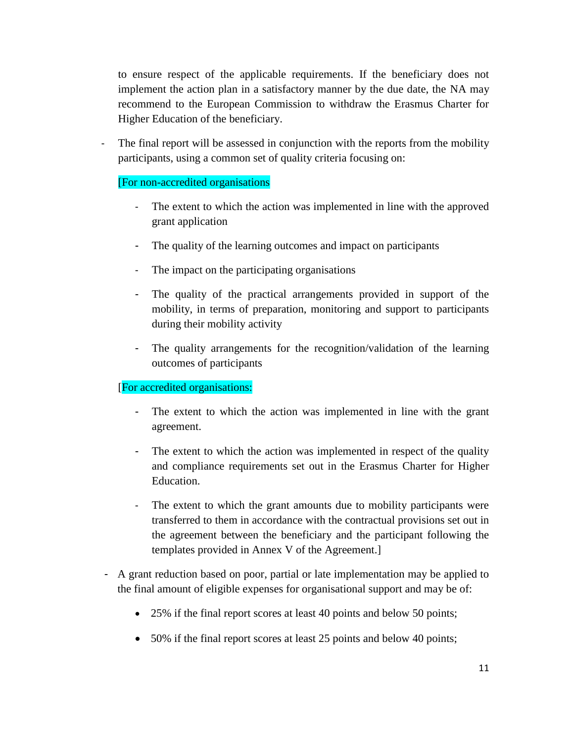to ensure respect of the applicable requirements. If the beneficiary does not implement the action plan in a satisfactory manner by the due date, the NA may recommend to the European Commission to withdraw the Erasmus Charter for Higher Education of the beneficiary.

- The final report will be assessed in conjunction with the reports from the mobility participants, using a common set of quality criteria focusing on:

### [For non-accredited organisations

- The extent to which the action was implemented in line with the approved grant application
- The quality of the learning outcomes and impact on participants
- The impact on the participating organisations
- The quality of the practical arrangements provided in support of the mobility, in terms of preparation, monitoring and support to participants during their mobility activity
- The quality arrangements for the recognition/validation of the learning outcomes of participants

### [For accredited organisations:

- The extent to which the action was implemented in line with the grant agreement.
- The extent to which the action was implemented in respect of the quality and compliance requirements set out in the Erasmus Charter for Higher Education.
- The extent to which the grant amounts due to mobility participants were transferred to them in accordance with the contractual provisions set out in the agreement between the beneficiary and the participant following the templates provided in Annex V of the Agreement.]
- A grant reduction based on poor, partial or late implementation may be applied to the final amount of eligible expenses for organisational support and may be of:
	- 25% if the final report scores at least 40 points and below 50 points;
	- 50% if the final report scores at least 25 points and below 40 points;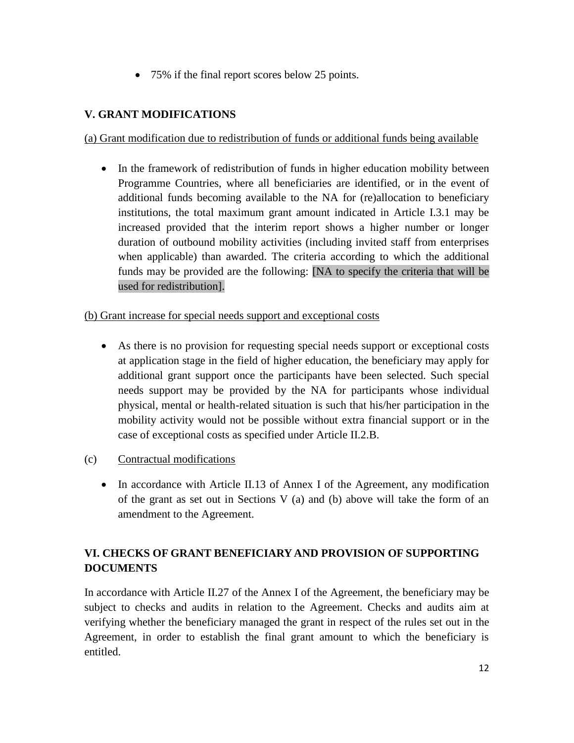75% if the final report scores below 25 points.

## **V. GRANT MODIFICATIONS**

### (a) Grant modification due to redistribution of funds or additional funds being available

• In the framework of redistribution of funds in higher education mobility between Programme Countries, where all beneficiaries are identified, or in the event of additional funds becoming available to the NA for (re)allocation to beneficiary institutions, the total maximum grant amount indicated in Article I.3.1 may be increased provided that the interim report shows a higher number or longer duration of outbound mobility activities (including invited staff from enterprises when applicable) than awarded. The criteria according to which the additional funds may be provided are the following: [NA to specify the criteria that will be used for redistribution].

### (b) Grant increase for special needs support and exceptional costs

- As there is no provision for requesting special needs support or exceptional costs at application stage in the field of higher education, the beneficiary may apply for additional grant support once the participants have been selected. Such special needs support may be provided by the NA for participants whose individual physical, mental or health-related situation is such that his/her participation in the mobility activity would not be possible without extra financial support or in the case of exceptional costs as specified under Article II.2.B.
- (c) Contractual modifications
	- In accordance with Article II.13 of Annex I of the Agreement, any modification of the grant as set out in Sections V (a) and (b) above will take the form of an amendment to the Agreement.

# **VI. CHECKS OF GRANT BENEFICIARY AND PROVISION OF SUPPORTING DOCUMENTS**

In accordance with Article II.27 of the Annex I of the Agreement, the beneficiary may be subject to checks and audits in relation to the Agreement. Checks and audits aim at verifying whether the beneficiary managed the grant in respect of the rules set out in the Agreement, in order to establish the final grant amount to which the beneficiary is entitled.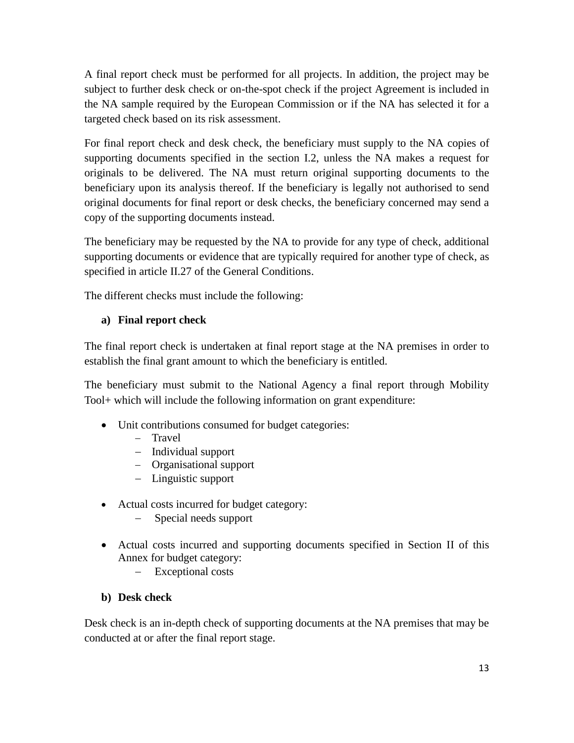A final report check must be performed for all projects. In addition, the project may be subject to further desk check or on-the-spot check if the project Agreement is included in the NA sample required by the European Commission or if the NA has selected it for a targeted check based on its risk assessment.

For final report check and desk check, the beneficiary must supply to the NA copies of supporting documents specified in the section I.2, unless the NA makes a request for originals to be delivered. The NA must return original supporting documents to the beneficiary upon its analysis thereof. If the beneficiary is legally not authorised to send original documents for final report or desk checks, the beneficiary concerned may send a copy of the supporting documents instead.

The beneficiary may be requested by the NA to provide for any type of check, additional supporting documents or evidence that are typically required for another type of check, as specified in article II.27 of the General Conditions.

The different checks must include the following:

## **a) Final report check**

The final report check is undertaken at final report stage at the NA premises in order to establish the final grant amount to which the beneficiary is entitled.

The beneficiary must submit to the National Agency a final report through Mobility Tool+ which will include the following information on grant expenditure:

- Unit contributions consumed for budget categories:
	- Travel
	- Individual support
	- Organisational support
	- Linguistic support
- Actual costs incurred for budget category:
	- Special needs support
- Actual costs incurred and supporting documents specified in Section II of this Annex for budget category:
	- Exceptional costs

### **b) Desk check**

Desk check is an in-depth check of supporting documents at the NA premises that may be conducted at or after the final report stage.